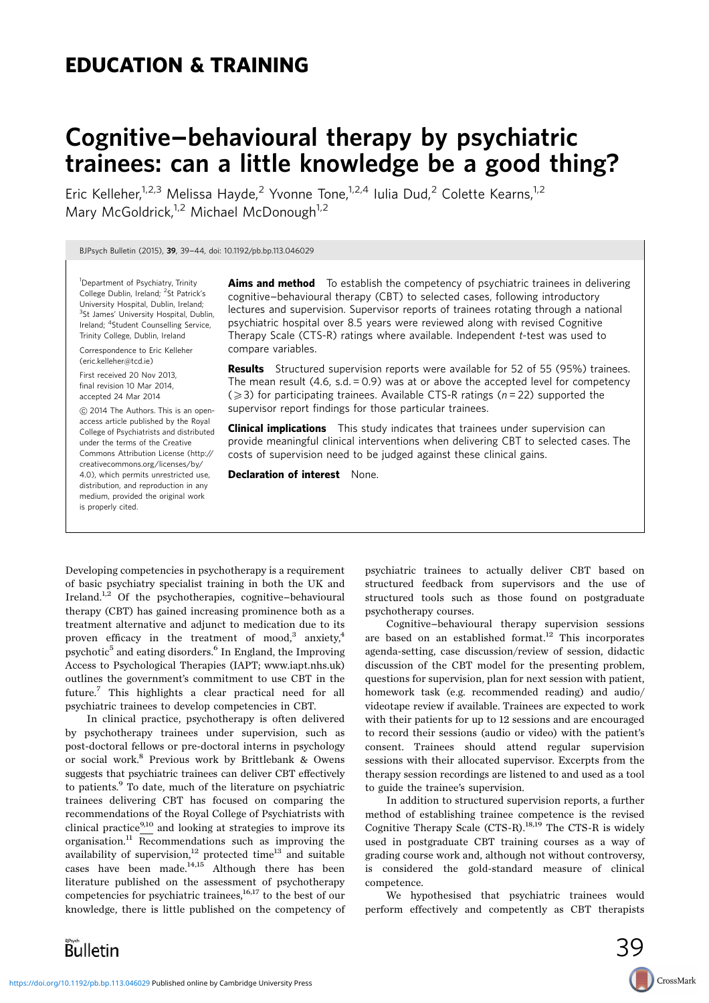# EDUCATION & TRAINING

# Cognitive-behavioural therapy by psychiatric trainees: can a little knowledge be a good thing?

Eric Kelleher,<sup>1,2,3</sup> Melissa Hayde,<sup>2</sup> Yvonne Tone,<sup>1,2,4</sup> Iulia Dud,<sup>2</sup> Colette Kearns,<sup>1,2</sup> Mary McGoldrick,<sup>1,2</sup> Michael McDonough<sup>1,2</sup>

BJPsych Bulletin (2015), <sup>39</sup>, 39-44, doi: 10.1192/pb.bp.113.046029

<sup>1</sup>Department of Psychiatry, Trinity College Dublin, Ireland; <sup>2</sup>St Patrick's University Hospital, Dublin, Ireland; <sup>3</sup>St James' University Hospital, Dublin, Ireland; <sup>4</sup>Student Counselling Service, Trinity College, Dublin, Ireland

Correspondence to Eric Kelleher (eric.kelleher@tcd.ie)

First received 20 Nov 2013, final revision 10 Mar 2014, accepted 24 Mar 2014

C 2014 The Authors. This is an openaccess article published by the Royal College of Psychiatrists and distributed under the terms of the Creative Commons Attribution License (http:// creativecommons.org/licenses/by/ 4.0), which permits unrestricted use, distribution, and reproduction in any medium, provided the original work is properly cited.

**Aims and method** To establish the competency of psychiatric trainees in delivering cognitive-behavioural therapy (CBT) to selected cases, following introductory lectures and supervision. Supervisor reports of trainees rotating through a national psychiatric hospital over 8.5 years were reviewed along with revised Cognitive Therapy Scale (CTS-R) ratings where available. Independent t-test was used to compare variables.

**Results** Structured supervision reports were available for 52 of 55 (95%) trainees. The mean result  $(4.6, s.d. = 0.9)$  was at or above the accepted level for competency  $(2)$  for participating trainees. Available CTS-R ratings (n = 22) supported the supervisor report findings for those particular trainees.

**Clinical implications** This study indicates that trainees under supervision can provide meaningful clinical interventions when delivering CBT to selected cases. The costs of supervision need to be judged against these clinical gains.

psychotherapy courses.

Declaration of interest None.

Developing competencies in psychotherapy is a requirement of basic psychiatry specialist training in both the UK and Ireland.<sup>1,2</sup> Of the psychotherapies, cognitive-behavioural therapy (CBT) has gained increasing prominence both as a treatment alternative and adjunct to medication due to its proven efficacy in the treatment of mood,<sup>3</sup> anxiety,<sup>4</sup> psychotic<sup>5</sup> and eating disorders.<sup>6</sup> In England, the Improving Access to Psychological Therapies (IAPT; www.iapt.nhs.uk) outlines the government's commitment to use CBT in the future.7 This highlights a clear practical need for all psychiatric trainees to develop competencies in CBT.

In clinical practice, psychotherapy is often delivered by psychotherapy trainees under supervision, such as post-doctoral fellows or pre-doctoral interns in psychology or social work.<sup>8</sup> Previous work by Brittlebank & Owens suggests that psychiatric trainees can deliver CBT effectively to patients.<sup>9</sup> To date, much of the literature on psychiatric trainees delivering CBT has focused on comparing the recommendations of the Royal College of Psychiatrists with clinical practice<sup>9,10</sup> and looking at strategies to improve its organisation.<sup>11</sup> Recommendations such as improving the availability of supervision, $^{12}$  protected time $^{13}$  and suitable cases have been made. $^{14,15}$  Although there has been literature published on the assessment of psychotherapy competencies for psychiatric trainees, $^{16,17}$  to the best of our knowledge, there is little published on the competency of

Cognitive-behavioural therapy supervision sessions are based on an established format. $12$  This incorporates agenda-setting, case discussion/review of session, didactic discussion of the CBT model for the presenting problem, questions for supervision, plan for next session with patient,

homework task (e.g. recommended reading) and audio/ videotape review if available. Trainees are expected to work with their patients for up to 12 sessions and are encouraged to record their sessions (audio or video) with the patient's consent. Trainees should attend regular supervision sessions with their allocated supervisor. Excerpts from the therapy session recordings are listened to and used as a tool to guide the trainee's supervision.

psychiatric trainees to actually deliver CBT based on structured feedback from supervisors and the use of structured tools such as those found on postgraduate

In addition to structured supervision reports, a further method of establishing trainee competence is the revised Cognitive Therapy Scale (CTS-R).18,19 The CTS-R is widely used in postgraduate CBT training courses as a way of grading course work and, although not without controversy, is considered the gold-standard measure of clinical competence.

We hypothesised that psychiatric trainees would perform effectively and competently as CBT therapists

CrossMark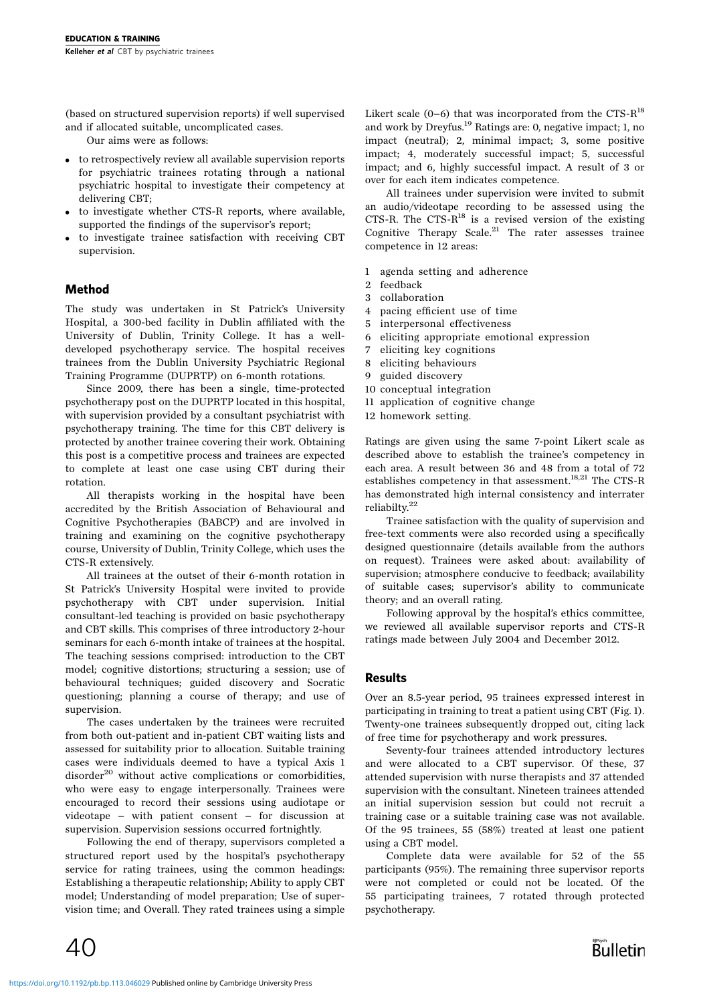(based on structured supervision reports) if well supervised and if allocated suitable, uncomplicated cases.

Our aims were as follows:

- . to retrospectively review all available supervision reports for psychiatric trainees rotating through a national psychiatric hospital to investigate their competency at delivering CBT;
- to investigate whether CTS-R reports, where available, supported the findings of the supervisor's report;
- . to investigate trainee satisfaction with receiving CBT supervision.

## Method

The study was undertaken in St Patrick's University Hospital, a 300-bed facility in Dublin affiliated with the University of Dublin, Trinity College. It has a welldeveloped psychotherapy service. The hospital receives trainees from the Dublin University Psychiatric Regional Training Programme (DUPRTP) on 6-month rotations.

Since 2009, there has been a single, time-protected psychotherapy post on the DUPRTP located in this hospital, with supervision provided by a consultant psychiatrist with psychotherapy training. The time for this CBT delivery is protected by another trainee covering their work. Obtaining this post is a competitive process and trainees are expected to complete at least one case using CBT during their rotation.

All therapists working in the hospital have been accredited by the British Association of Behavioural and Cognitive Psychotherapies (BABCP) and are involved in training and examining on the cognitive psychotherapy course, University of Dublin, Trinity College, which uses the CTS-R extensively.

All trainees at the outset of their 6-month rotation in St Patrick's University Hospital were invited to provide psychotherapy with CBT under supervision. Initial consultant-led teaching is provided on basic psychotherapy and CBT skills. This comprises of three introductory 2-hour seminars for each 6-month intake of trainees at the hospital. The teaching sessions comprised: introduction to the CBT model; cognitive distortions; structuring a session; use of behavioural techniques; guided discovery and Socratic questioning; planning a course of therapy; and use of supervision.

The cases undertaken by the trainees were recruited from both out-patient and in-patient CBT waiting lists and assessed for suitability prior to allocation. Suitable training cases were individuals deemed to have a typical Axis 1 disorder $^{20}$  without active complications or comorbidities, who were easy to engage interpersonally. Trainees were encouraged to record their sessions using audiotape or videotape - with patient consent - for discussion at supervision. Supervision sessions occurred fortnightly.

Following the end of therapy, supervisors completed a structured report used by the hospital's psychotherapy service for rating trainees, using the common headings: Establishing a therapeutic relationship; Ability to apply CBT model; Understanding of model preparation; Use of supervision time; and Overall. They rated trainees using a simple Likert scale  $(0-6)$  that was incorporated from the CTS- $R^{18}$ and work by Dreyfus.<sup>19</sup> Ratings are: 0, negative impact; 1, no impact (neutral); 2, minimal impact; 3, some positive impact; 4, moderately successful impact; 5, successful impact; and 6, highly successful impact. A result of 3 or over for each item indicates competence.

All trainees under supervision were invited to submit an audio/videotape recording to be assessed using the CTS-R. The CTS- $R^{18}$  is a revised version of the existing Cognitive Therapy Scale.21 The rater assesses trainee competence in 12 areas:

- 1 agenda setting and adherence
- 2 feedback
- 3 collaboration
- 4 pacing efficient use of time
- 5 interpersonal effectiveness
- 6 eliciting appropriate emotional expression
- 7 eliciting key cognitions
- 8 eliciting behaviours
- 9 guided discovery
- 10 conceptual integration
- 11 application of cognitive change
- 12 homework setting.

Ratings are given using the same 7-point Likert scale as described above to establish the trainee's competency in each area. A result between 36 and 48 from a total of 72 establishes competency in that assessment.<sup>18,21</sup> The CTS-R has demonstrated high internal consistency and interrater reliabilty.22

Trainee satisfaction with the quality of supervision and free-text comments were also recorded using a specifically designed questionnaire (details available from the authors on request). Trainees were asked about: availability of supervision; atmosphere conducive to feedback; availability of suitable cases; supervisor's ability to communicate theory; and an overall rating.

Following approval by the hospital's ethics committee, we reviewed all available supervisor reports and CTS-R ratings made between July 2004 and December 2012.

# Results

Over an 8.5-year period, 95 trainees expressed interest in participating in training to treat a patient using CBT (Fig. 1). Twenty-one trainees subsequently dropped out, citing lack of free time for psychotherapy and work pressures.

Seventy-four trainees attended introductory lectures and were allocated to a CBT supervisor. Of these, 37 attended supervision with nurse therapists and 37 attended supervision with the consultant. Nineteen trainees attended an initial supervision session but could not recruit a training case or a suitable training case was not available. Of the 95 trainees, 55 (58%) treated at least one patient using a CBT model.

Complete data were available for 52 of the 55 participants (95%). The remaining three supervisor reports were not completed or could not be located. Of the 55 participating trainees, 7 rotated through protected psychotherapy.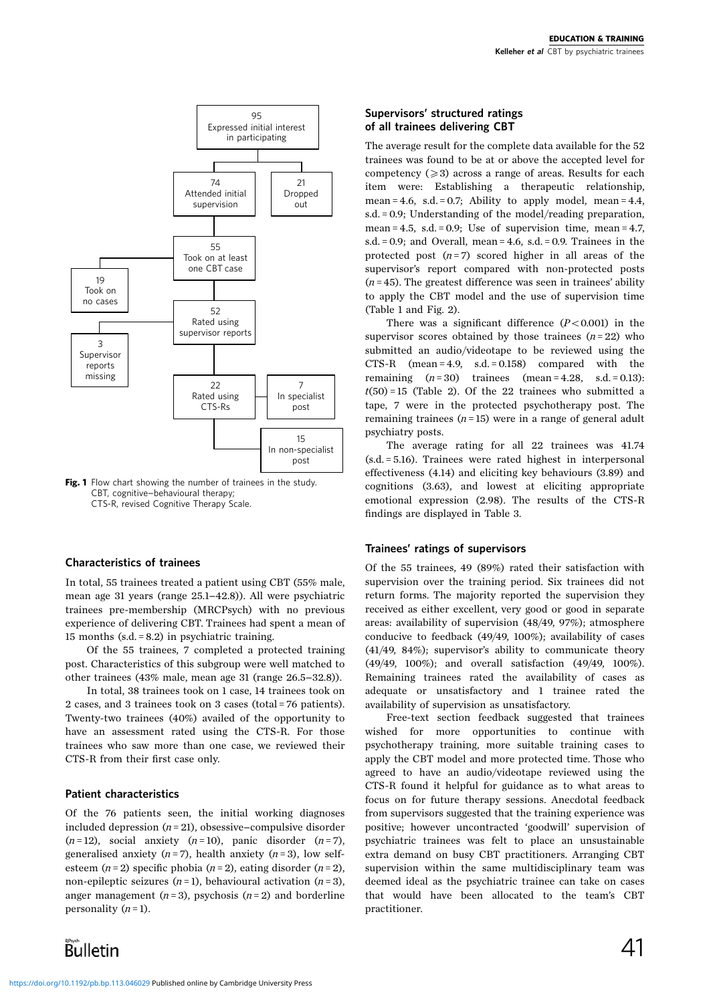

Fig. 1 Flow chart showing the number of trainees in the study. CBT, cognitive-behavioural therapy; CTS-R, revised Cognitive Therapy Scale.

#### Characteristics of trainees

In total, 55 trainees treated a patient using CBT (55% male, mean age 31 years (range 25.1-42.8)). All were psychiatric trainees pre-membership (MRCPsych) with no previous experience of delivering CBT. Trainees had spent a mean of 15 months (s.d. = 8.2) in psychiatric training.

Of the 55 trainees, 7 completed a protected training post. Characteristics of this subgroup were well matched to other trainees (43% male, mean age 31 (range 26.5-32.8)).

In total, 38 trainees took on 1 case, 14 trainees took on 2 cases, and 3 trainees took on 3 cases (total = 76 patients). Twenty-two trainees (40%) availed of the opportunity to have an assessment rated using the CTS-R. For those trainees who saw more than one case, we reviewed their CTS-R from their first case only.

# Patient characteristics

Of the 76 patients seen, the initial working diagnoses included depression  $(n = 21)$ , obsessive-compulsive disorder  $(n=12)$ , social anxiety  $(n=10)$ , panic disorder  $(n=7)$ , generalised anxiety  $(n=7)$ , health anxiety  $(n=3)$ , low selfesteem (n = 2) specific phobia (n = 2), eating disorder (n = 2), non-epileptic seizures  $(n=1)$ , behavioural activation  $(n=3)$ , anger management ( $n = 3$ ), psychosis ( $n = 2$ ) and borderline personality  $(n=1)$ .

#### Supervisors' structured ratings of all trainees delivering CBT

The average result for the complete data available for the 52 trainees was found to be at or above the accepted level for competency  $(\geq 3)$  across a range of areas. Results for each item were: Establishing a therapeutic relationship, mean = 4.6, s.d. = 0.7; Ability to apply model, mean = 4.4, s.d. = 0.9; Understanding of the model/reading preparation, mean = 4.5, s.d. = 0.9; Use of supervision time, mean =  $4.7$ , s.d. = 0.9; and Overall, mean = 4.6, s.d. = 0.9. Trainees in the protected post  $(n=7)$  scored higher in all areas of the supervisor's report compared with non-protected posts  $(n=45)$ . The greatest difference was seen in trainees' ability to apply the CBT model and the use of supervision time (Table 1 and Fig. 2).

There was a significant difference  $(P<0.001)$  in the supervisor scores obtained by those trainees  $(n=22)$  who submitted an audio/videotape to be reviewed using the CTS-R (mean = 4.9, s.d. = 0.158) compared with the remaining  $(n=30)$  trainees  $(mean = 4.28, s.d. = 0.13)$ :  $t(50) = 15$  (Table 2). Of the 22 trainees who submitted a tape, 7 were in the protected psychotherapy post. The remaining trainees  $(n=15)$  were in a range of general adult psychiatry posts.

The average rating for all 22 trainees was 41.74 (s.d. = 5.16). Trainees were rated highest in interpersonal effectiveness (4.14) and eliciting key behaviours (3.89) and cognitions (3.63), and lowest at eliciting appropriate emotional expression (2.98). The results of the CTS-R findings are displayed in Table 3.

#### Trainees' ratings of supervisors

Of the 55 trainees, 49 (89%) rated their satisfaction with supervision over the training period. Six trainees did not return forms. The majority reported the supervision they received as either excellent, very good or good in separate areas: availability of supervision (48/49, 97%); atmosphere conducive to feedback (49/49, 100%); availability of cases (41/49, 84%); supervisor's ability to communicate theory (49/49, 100%); and overall satisfaction (49/49, 100%). Remaining trainees rated the availability of cases as adequate or unsatisfactory and 1 trainee rated the availability of supervision as unsatisfactory.

Free-text section feedback suggested that trainees wished for more opportunities to continue with psychotherapy training, more suitable training cases to apply the CBT model and more protected time. Those who agreed to have an audio/videotape reviewed using the CTS-R found it helpful for guidance as to what areas to focus on for future therapy sessions. Anecdotal feedback from supervisors suggested that the training experience was positive; however uncontracted 'goodwill' supervision of psychiatric trainees was felt to place an unsustainable extra demand on busy CBT practitioners. Arranging CBT supervision within the same multidisciplinary team was deemed ideal as the psychiatric trainee can take on cases that would have been allocated to the team's CBT practitioner.

Bulletin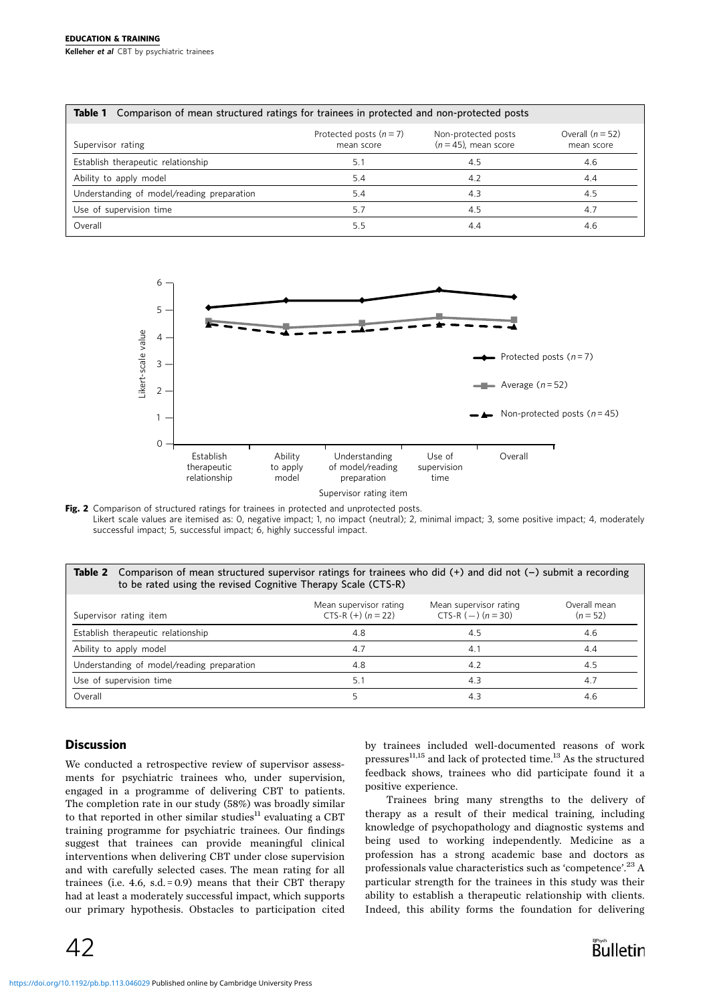# EDUCATION & TRAINING

Kelleher et al CBT by psychiatric trainees

| <b>Table 1</b> Comparison of mean structured ratings for trainees in protected and non-protected posts |                                         |                                                |                                  |  |  |
|--------------------------------------------------------------------------------------------------------|-----------------------------------------|------------------------------------------------|----------------------------------|--|--|
| Supervisor rating                                                                                      | Protected posts $(n = 7)$<br>mean score | Non-protected posts<br>$(n = 45)$ , mean score | Overall $(n = 52)$<br>mean score |  |  |
| Establish therapeutic relationship                                                                     | 5.1                                     | 4.5                                            | 4.6                              |  |  |
| Ability to apply model                                                                                 | 5.4                                     | 4.2                                            | 4.4                              |  |  |
| Understanding of model/reading preparation                                                             | 5.4                                     | 4.3                                            | 4.5                              |  |  |
| Use of supervision time                                                                                | 5.7                                     | 4.5                                            | 4.7                              |  |  |
| Overall                                                                                                | 5.5                                     | 4.4                                            | 4.6                              |  |  |



Fig. 2 Comparison of structured ratings for trainees in protected and unprotected posts. Likert scale values are itemised as: 0, negative impact; 1, no impact (neutral); 2, minimal impact; 3, some positive impact; 4, moderately successful impact; 5, successful impact; 6, highly successful impact.

#### Table 2 Comparison of mean structured supervisor ratings for trainees who did  $(+)$  and did not  $(-)$  submit a recording to be rated using the revised Cognitive Therapy Scale (CTS-R)

| Supervisor rating item                     | Mean supervisor rating<br>CTS-R $(+)$ $(n=22)$ | Mean supervisor rating<br>CTS-R $(-)$ $(n = 30)$ | Overall mean<br>$(n = 52)$ |
|--------------------------------------------|------------------------------------------------|--------------------------------------------------|----------------------------|
| Establish therapeutic relationship         | 4.8                                            | 4.5                                              | 4.6                        |
| Ability to apply model                     | 4.7                                            | 4.1                                              | 4.4                        |
| Understanding of model/reading preparation | 4.8                                            | 4.2                                              | 4.5                        |
| Use of supervision time                    | 51                                             | 4.3                                              | 4.7                        |
| Overall                                    |                                                | 4.3                                              | 4.6                        |

# **Discussion**

We conducted a retrospective review of supervisor assessments for psychiatric trainees who, under supervision, engaged in a programme of delivering CBT to patients. The completion rate in our study (58%) was broadly similar to that reported in other similar studies $11$  evaluating a CBT training programme for psychiatric trainees. Our findings suggest that trainees can provide meaningful clinical interventions when delivering CBT under close supervision and with carefully selected cases. The mean rating for all trainees (i.e.  $4.6$ ,  $s.d. = 0.9$ ) means that their CBT therapy had at least a moderately successful impact, which supports our primary hypothesis. Obstacles to participation cited by trainees included well-documented reasons of work pressures $^{11,15}$  and lack of protected time.<sup>13</sup> As the structured feedback shows, trainees who did participate found it a positive experience.

Trainees bring many strengths to the delivery of therapy as a result of their medical training, including knowledge of psychopathology and diagnostic systems and being used to working independently. Medicine as a profession has a strong academic base and doctors as professionals value characteristics such as 'competence'.<sup>23</sup> A particular strength for the trainees in this study was their ability to establish a therapeutic relationship with clients. Indeed, this ability forms the foundation for delivering

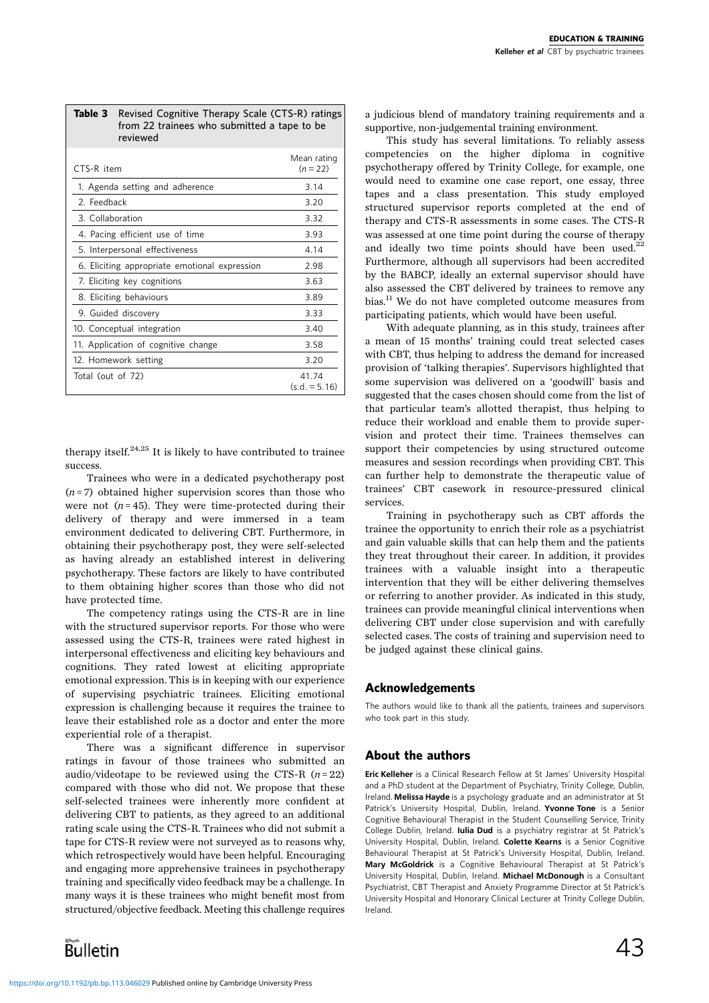|                                               | <b>Table 3</b> Revised Cognitive Therapy Scale (CTS-R) ratings<br>from 22 trainees who submitted a tape to be<br>reviewed |                           |
|-----------------------------------------------|---------------------------------------------------------------------------------------------------------------------------|---------------------------|
| CTS-R item                                    |                                                                                                                           | Mean rating<br>$(n = 22)$ |
| 1. Agenda setting and adherence               |                                                                                                                           | 3.14                      |
| 2. Feedback                                   |                                                                                                                           | 3.20                      |
| 3. Collaboration                              |                                                                                                                           | 3.32                      |
| 4. Pacing efficient use of time               |                                                                                                                           | 3.93                      |
| 5. Interpersonal effectiveness                |                                                                                                                           | 4.14                      |
| 6. Eliciting appropriate emotional expression |                                                                                                                           | 2.98                      |
| 7. Eliciting key cognitions                   |                                                                                                                           | 3.63                      |
| 8. Eliciting behaviours                       |                                                                                                                           | 3.89                      |
| 9. Guided discovery                           |                                                                                                                           | 3.33                      |
| 10. Conceptual integration                    |                                                                                                                           | 3.40                      |
| 11. Application of cognitive change           |                                                                                                                           | 3.58                      |
| 12. Homework setting                          |                                                                                                                           | 3.20                      |
| Total (out of 72)                             |                                                                                                                           | 41.74<br>$(s.d. = 5.16)$  |

therapy itself. $24,25$  It is likely to have contributed to trainee success.

Trainees who were in a dedicated psychotherapy post  $(n=7)$  obtained higher supervision scores than those who were not  $(n=45)$ . They were time-protected during their delivery of therapy and were immersed in a team environment dedicated to delivering CBT. Furthermore, in obtaining their psychotherapy post, they were self-selected as having already an established interest in delivering psychotherapy. These factors are likely to have contributed to them obtaining higher scores than those who did not have protected time.

The competency ratings using the CTS-R are in line with the structured supervisor reports. For those who were assessed using the CTS-R, trainees were rated highest in interpersonal effectiveness and eliciting key behaviours and cognitions. They rated lowest at eliciting appropriate emotional expression. This is in keeping with our experience of supervising psychiatric trainees. Eliciting emotional expression is challenging because it requires the trainee to leave their established role as a doctor and enter the more experiential role of a therapist.

There was a significant difference in supervisor ratings in favour of those trainees who submitted an audio/videotape to be reviewed using the CTS-R  $(n=22)$ compared with those who did not. We propose that these self-selected trainees were inherently more confident at delivering CBT to patients, as they agreed to an additional rating scale using the CTS-R. Trainees who did not submit a tape for CTS-R review were not surveyed as to reasons why, which retrospectively would have been helpful. Encouraging and engaging more apprehensive trainees in psychotherapy training and specifically video feedback may be a challenge. In many ways it is these trainees who might benefit most from structured/objective feedback. Meeting this challenge requires

Bulletin

a judicious blend of mandatory training requirements and a supportive, non-judgemental training environment.

This study has several limitations. To reliably assess competencies on the higher diploma in cognitive psychotherapy offered by Trinity College, for example, one would need to examine one case report, one essay, three tapes and a class presentation. This study employed structured supervisor reports completed at the end of therapy and CTS-R assessments in some cases. The CTS-R was assessed at one time point during the course of therapy and ideally two time points should have been used.<sup>2</sup> Furthermore, although all supervisors had been accredited by the BABCP, ideally an external supervisor should have also assessed the CBT delivered by trainees to remove any bias.<sup>11</sup> We do not have completed outcome measures from participating patients, which would have been useful.

With adequate planning, as in this study, trainees after a mean of 15 months' training could treat selected cases with CBT, thus helping to address the demand for increased provision of 'talking therapies'. Supervisors highlighted that some supervision was delivered on a 'goodwill' basis and suggested that the cases chosen should come from the list of that particular team's allotted therapist, thus helping to reduce their workload and enable them to provide supervision and protect their time. Trainees themselves can support their competencies by using structured outcome measures and session recordings when providing CBT. This can further help to demonstrate the therapeutic value of trainees' CBT casework in resource-pressured clinical services.

Training in psychotherapy such as CBT affords the trainee the opportunity to enrich their role as a psychiatrist and gain valuable skills that can help them and the patients they treat throughout their career. In addition, it provides trainees with a valuable insight into a therapeutic intervention that they will be either delivering themselves or referring to another provider. As indicated in this study, trainees can provide meaningful clinical interventions when delivering CBT under close supervision and with carefully selected cases. The costs of training and supervision need to be judged against these clinical gains.

# Acknowledgements

The authors would like to thank all the patients, trainees and supervisors who took part in this study.

# About the authors

Eric Kelleher is a Clinical Research Fellow at St James' University Hospital and a PhD student at the Department of Psychiatry, Trinity College, Dublin, Ireland. Melissa Hayde is a psychology graduate and an administrator at St Patrick's University Hospital, Dublin, Ireland. Yvonne Tone is a Senior Cognitive Behavioural Therapist in the Student Counselling Service, Trinity College Dublin, Ireland. Iulia Dud is a psychiatry registrar at St Patrick's University Hospital, Dublin, Ireland. Colette Kearns is a Senior Cognitive Behavioural Therapist at St Patrick's University Hospital, Dublin, Ireland. Mary McGoldrick is a Cognitive Behavioural Therapist at St Patrick's University Hospital, Dublin, Ireland. Michael McDonough is a Consultant Psychiatrist, CBT Therapist and Anxiety Programme Director at St Patrick's University Hospital and Honorary Clinical Lecturer at Trinity College Dublin, Ireland.